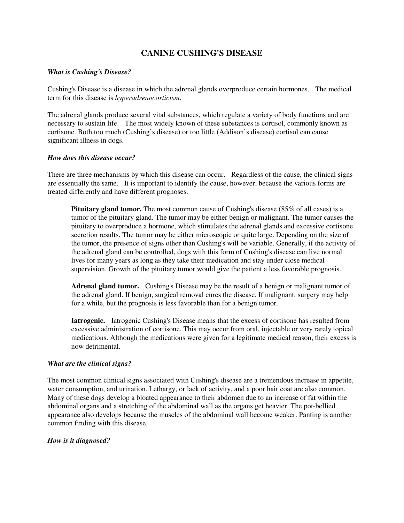# **CANINE CUSHING'S DISEASE**

#### *What is Cushing's Disease?*

Cushing's Disease is a disease in which the adrenal glands overproduce certain hormones. The medical term for this disease is *hyperadrenocorticism*.

The adrenal glands produce several vital substances, which regulate a variety of body functions and are necessary to sustain life. The most widely known of these substances is cortisol, commonly known as cortisone. Both too much (Cushing's disease) or too little (Addison's disease) cortisol can cause significant illness in dogs.

#### *How does this disease occur?*

There are three mechanisms by which this disease can occur. Regardless of the cause, the clinical signs are essentially the same. It is important to identify the cause, however, because the various forms are treated differently and have different prognoses.

**Pituitary gland tumor.** The most common cause of Cushing's disease (85% of all cases) is a tumor of the pituitary gland. The tumor may be either benign or malignant. The tumor causes the pituitary to overproduce a hormone, which stimulates the adrenal glands and excessive cortisone secretion results. The tumor may be either microscopic or quite large. Depending on the size of the tumor, the presence of signs other than Cushing's will be variable. Generally, if the activity of the adrenal gland can be controlled, dogs with this form of Cushing's disease can live normal lives for many years as long as they take their medication and stay under close medical supervision. Growth of the pituitary tumor would give the patient a less favorable prognosis.

**Adrenal gland tumor.** Cushing's Disease may be the result of a benign or malignant tumor of the adrenal gland. If benign, surgical removal cures the disease. If malignant, surgery may help for a while, but the prognosis is less favorable than for a benign tumor.

**Iatrogenic.** Iatrogenic Cushing's Disease means that the excess of cortisone has resulted from excessive administration of cortisone. This may occur from oral, injectable or very rarely topical medications. Although the medications were given for a legitimate medical reason, their excess is now detrimental.

### *What are the clinical signs?*

The most common clinical signs associated with Cushing's disease are a tremendous increase in appetite, water consumption, and urination. Lethargy, or lack of activity, and a poor hair coat are also common. Many of these dogs develop a bloated appearance to their abdomen due to an increase of fat within the abdominal organs and a stretching of the abdominal wall as the organs get heavier. The pot-bellied appearance also develops because the muscles of the abdominal wall become weaker. Panting is another common finding with this disease.

### *How is it diagnosed?*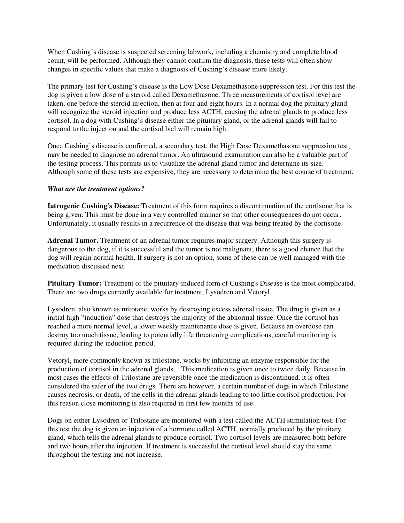When Cushing's disease is suspected screening labwork, including a chemistry and complete blood count, will be performed. Although they cannot confirm the diagnosis, these tests will often show changes in specific values that make a diagnosis of Cushing's disease more likely.

The primary test for Cushing's disease is the Low Dose Dexamethasone suppression test. For this test the dog is given a low dose of a steroid called Dexamethasone. Three measurements of cortisol level are taken, one before the steroid injection, then at four and eight hours. In a normal dog the pituitary gland will recognize the steroid injection and produce less ACTH, causing the adrenal glands to produce less cortisol. In a dog with Cushing's disease either the pituitary gland, or the adrenal glands will fail to respond to the injection and the cortisol lvel will remain high.

Once Cushing's disease is confirmed, a secondary test, the High Dose Dexamethasone suppression test, may be needed to diagnose an adrenal tumor. An ultrasound examination can also be a valuable part of the testing process. This permits us to visualize the adrenal gland tumor and determine its size. Although some of these tests are expensive, they are necessary to determine the best course of treatment.

### *What are the treatment options?*

**Iatrogenic Cushing's Disease:** Treatment of this form requires a discontinuation of the cortisone that is being given. This must be done in a very controlled manner so that other consequences do not occur. Unfortunately, it usually results in a recurrence of the disease that was being treated by the cortisone.

**Adrenal Tumor.** Treatment of an adrenal tumor requires major surgery. Although this surgery is dangerous to the dog, if it is successful and the tumor is not malignant, there is a good chance that the dog will regain normal health. If surgery is not an option, some of these can be well managed with the medication discussed next.

Pituitary Tumor: Treatment of the pituitary-induced form of Cushing's Disease is the most complicated. There are two drugs currently available for treatment, Lysodren and Vetoryl.

Lysodren, also known as mitotane, works by destroying excess adrenal tissue. The drug is given as a initial high "induction" dose that destroys the majority of the abnormal tissue. Once the cortisol has reached a more normal level, a lower weekly maintenance dose is given. Because an overdose can destroy too much tissue, leading to potentially life threatening complications, careful monitoring is required during the induction period.

Vetoryl, more commonly known as trilostane, works by inhibiting an enzyme responsible for the production of cortisol in the adrenal glands. This medication is given once to twice daily. Because in most cases the effects of Trilostane are reversible once the medication is discontinued, it is often considered the safer of the two drugs. There are however, a certain number of dogs in which Trilostane causes necrosis, or death, of the cells in the adrenal glands leading to too little cortisol production. For this reason close monitoring is also required in first few months of use.

Dogs on either Lysodren or Trilostane are monitored with a test called the ACTH stimulation test. For this test the dog is given an injection of a hormone called ACTH, normally produced by the pituitary gland, which tells the adrenal glands to produce cortisol. Two cortisol levels are measured both before and two hours after the injection. If treatment is successful the cortisol level should stay the same throughout the testing and not increase.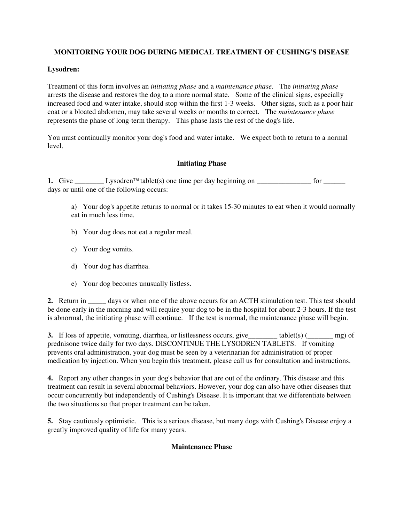# **MONITORING YOUR DOG DURING MEDICAL TREATMENT OF CUSHING'S DISEASE**

# **Lysodren:**

Treatment of this form involves an *initiating phase* and a *maintenance phase*. The *initiating phase* arrests the disease and restores the dog to a more normal state. Some of the clinical signs, especially increased food and water intake, should stop within the first 1-3 weeks. Other signs, such as a poor hair coat or a bloated abdomen, may take several weeks or months to correct. The *maintenance phase* represents the phase of long-term therapy. This phase lasts the rest of the dog's life.

You must continually monitor your dog's food and water intake. We expect both to return to a normal level.

# **Initiating Phase**

**1.** Give \_\_\_\_\_\_\_\_\_\_\_\_\_ Lysodren<sup>TM</sup> tablet(s) one time per day beginning on \_\_\_\_\_\_\_\_\_\_\_\_\_\_\_\_\_\_ for \_\_\_\_\_\_\_\_\_\_\_\_ days or until one of the following occurs:

a) Your dog's appetite returns to normal or it takes 15-30 minutes to eat when it would normally eat in much less time.

- b) Your dog does not eat a regular meal.
- c) Your dog vomits.
- d) Your dog has diarrhea.
- e) Your dog becomes unusually listless.

**2.** Return in \_\_\_\_\_ days or when one of the above occurs for an ACTH stimulation test. This test should be done early in the morning and will require your dog to be in the hospital for about 2-3 hours. If the test is abnormal, the initiating phase will continue. If the test is normal, the maintenance phase will begin.

**3.** If loss of appetite, vomiting, diarrhea, or listlessness occurs, give  $\qquad$  tablet(s) ( $\qquad$  mg) of prednisone twice daily for two days. DISCONTINUE THE LYSODREN TABLETS. If vomiting prevents oral administration, your dog must be seen by a veterinarian for administration of proper medication by injection. When you begin this treatment, please call us for consultation and instructions.

**4.** Report any other changes in your dog's behavior that are out of the ordinary. This disease and this treatment can result in several abnormal behaviors. However, your dog can also have other diseases that occur concurrently but independently of Cushing's Disease. It is important that we differentiate between the two situations so that proper treatment can be taken.

**5.** Stay cautiously optimistic. This is a serious disease, but many dogs with Cushing's Disease enjoy a greatly improved quality of life for many years.

### **Maintenance Phase**